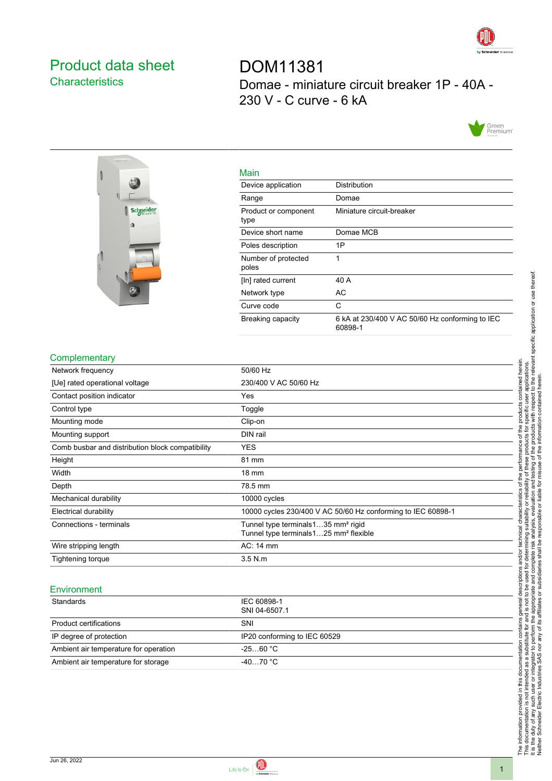

## <span id="page-0-0"></span>Product data sheet **Characteristics**

DOM11381 Domae - miniature circuit breaker 1P - 40A - 230 V - C curve - 6 kA





| Main                         |                                                            |
|------------------------------|------------------------------------------------------------|
| Device application           | Distribution                                               |
| Range                        | Domae                                                      |
| Product or component<br>type | Miniature circuit-breaker                                  |
| Device short name            | Domae MCB                                                  |
| Poles description            | 1P                                                         |
| Number of protected<br>poles | 1                                                          |
| [In] rated current           | 40 A                                                       |
| Network type                 | AC                                                         |
| Curve code                   | C                                                          |
| <b>Breaking capacity</b>     | 6 kA at 230/400 V AC 50/60 Hz conforming to IEC<br>60898-1 |

## **Complementary**

| Network frequency                                | 50/60 Hz                                                                                             |
|--------------------------------------------------|------------------------------------------------------------------------------------------------------|
| [Ue] rated operational voltage                   | 230/400 V AC 50/60 Hz                                                                                |
| Contact position indicator                       | Yes                                                                                                  |
| Control type                                     | Toggle                                                                                               |
| Mounting mode                                    | Clip-on                                                                                              |
| Mounting support                                 | DIN rail                                                                                             |
| Comb busbar and distribution block compatibility | <b>YES</b>                                                                                           |
| Height                                           | 81 mm                                                                                                |
| Width                                            | 18 mm                                                                                                |
| Depth                                            | 78.5 mm                                                                                              |
| Mechanical durability                            | 10000 cycles                                                                                         |
| Electrical durability                            | 10000 cycles 230/400 V AC 50/60 Hz conforming to IEC 60898-1                                         |
| Connections - terminals                          | Tunnel type terminals 135 mm <sup>2</sup> rigid<br>Tunnel type terminals125 mm <sup>2</sup> flexible |
| Wire stripping length                            | AC: 14 mm                                                                                            |
| Tightening torque                                | $3.5$ N.m                                                                                            |
|                                                  |                                                                                                      |

## **Environment**

| Standards                             | IEC 60898-1<br>SNI 04-6507.1 |
|---------------------------------------|------------------------------|
| Product certifications                | SNI                          |
| IP degree of protection               | IP20 conforming to IEC 60529 |
| Ambient air temperature for operation | $-2560 °C$                   |
| Ambient air temperature for storage   | $-4070 °C$                   |